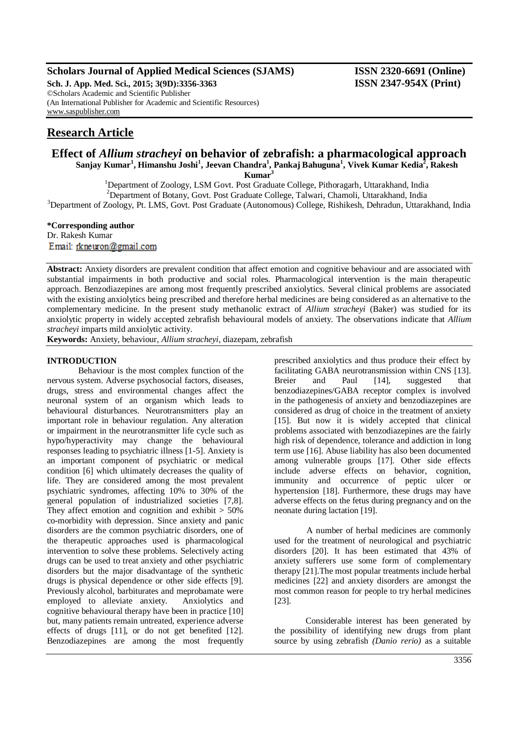# **Scholars Journal of Applied Medical Sciences (SJAMS) ISSN 2320-6691 (Online)**

**Sch. J. App. Med. Sci., 2015; 3(9D):3356-3363 ISSN 2347-954X (Print)** ©Scholars Academic and Scientific Publisher (An International Publisher for Academic and Scientific Resources) [www.saspublisher.com](http://www.saspublisher.com/)

# **Research Article**

# **Effect of** *Allium stracheyi* **on behavior of zebrafish: a pharmacological approach Sanjay Kumar<sup>1</sup> , Himanshu Joshi<sup>1</sup> , Jeevan Chandra<sup>1</sup> , Pankaj Bahuguna<sup>1</sup> , Vivek Kumar Kedia<sup>2</sup> , Rakesh**

**Kumar<sup>3</sup>**

<sup>1</sup>Department of Zoology, LSM Govt. Post Graduate College, Pithoragarh, Uttarakhand, India <sup>2</sup>Department of Botany, Govt. Post Graduate College, Talwari, Chamoli, Uttarakhand, India <sup>3</sup>Department of Zoology, Pt. LMS, Govt. Post Graduate (Autonomous) College, Rishikesh, Dehradun, Uttarakhand, India

#### **\*Corresponding author**

Dr. Rakesh Kumar Email: rkneuron@gmail.com

**Abstract:** Anxiety disorders are prevalent condition that affect emotion and cognitive behaviour and are associated with substantial impairments in both productive and social roles. Pharmacological intervention is the main therapeutic approach. Benzodiazepines are among most frequently prescribed anxiolytics. Several clinical problems are associated with the existing anxiolytics being prescribed and therefore herbal medicines are being considered as an alternative to the complementary medicine. In the present study methanolic extract of *Allium stracheyi* (Baker) was studied for its anxiolytic property in widely accepted zebrafish behavioural models of anxiety. The observations indicate that *Allium stracheyi* imparts mild anxiolytic activity.

**Keywords:** Anxiety, behaviour, *Allium stracheyi*, diazepam, zebrafish

#### **INTRODUCTION**

Behaviour is the most complex function of the nervous system. Adverse psychosocial factors, diseases, drugs, stress and environmental changes affect the neuronal system of an organism which leads to behavioural disturbances. Neurotransmitters play an important role in behaviour regulation. Any alteration or impairment in the neurotransmitter life cycle such as hypo/hyperactivity may change the behavioural responses leading to psychiatric illness [1-5]. Anxiety is an important component of psychiatric or medical condition [6] which ultimately decreases the quality of life. They are considered among the most prevalent psychiatric syndromes, affecting 10% to 30% of the general population of industrialized societies [7,8]. They affect emotion and cognition and exhibit  $> 50\%$ co-morbidity with depression. Since anxiety and panic disorders are the common psychiatric disorders, one of the therapeutic approaches used is pharmacological intervention to solve these problems. Selectively acting drugs can be used to treat anxiety and other psychiatric disorders but the major disadvantage of the synthetic drugs is physical dependence or other side effects [9]. Previously alcohol, barbiturates and meprobamate were employed to alleviate anxiety. Anxiolytics and cognitive behavioural therapy have been in practice [10] but, many patients remain untreated, experience adverse effects of drugs [11], or do not get benefited [12]. Benzodiazepines are among the most frequently

prescribed anxiolytics and thus produce their effect by facilitating GABA neurotransmission within CNS [13]. Breier and Paul [14], suggested that benzodiazepines/GABA receptor complex is involved in the pathogenesis of anxiety and benzodiazepines are considered as drug of choice in the treatment of anxiety [15]. But now it is widely accepted that clinical problems associated with benzodiazepines are the fairly high risk of dependence, tolerance and addiction in long term use [16]. Abuse liability has also been documented among vulnerable groups [17]. Other side effects include adverse effects on behavior, cognition, immunity and occurrence of peptic ulcer or hypertension [18]. Furthermore, these drugs may have adverse effects on the fetus during pregnancy and on the neonate during lactation [19].

A number of herbal medicines are commonly used for the treatment of neurological and psychiatric disorders [20]. It has been estimated that 43% of anxiety sufferers use some form of complementary therapy [21].The most popular treatments include herbal medicines [22] and anxiety disorders are amongst the most common reason for people to try herbal medicines [23].

Considerable interest has been generated by the possibility of identifying new drugs from plant source by using zebrafish *(Danio rerio)* as a suitable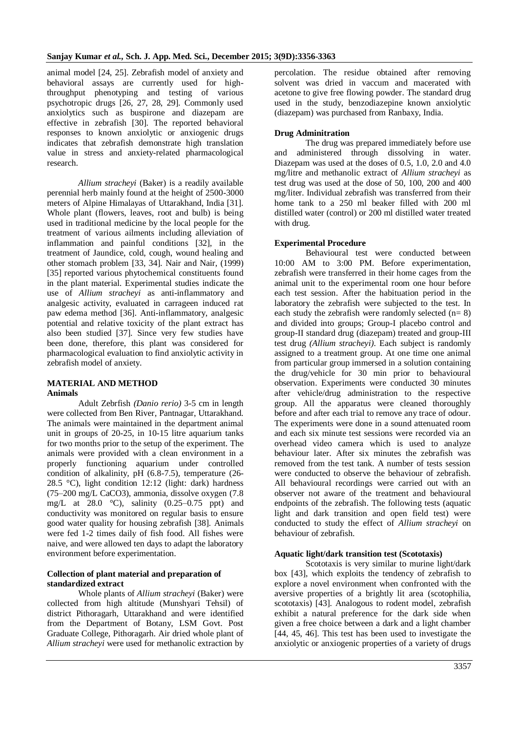animal model [24, 25]. Zebrafish model of anxiety and behavioral assays are currently used for highthroughput phenotyping and testing of various psychotropic drugs [26, 27, 28, 29]. Commonly used anxiolytics such as buspirone and diazepam are effective in zebrafish [30]. The reported behavioral responses to known anxiolytic or anxiogenic drugs indicates that zebrafish demonstrate high translation value in stress and anxiety-related pharmacological research.

*Allium stracheyi* (Baker) is a readily available perennial herb mainly found at the height of 2500-3000 meters of Alpine Himalayas of Uttarakhand, India [31]. Whole plant (flowers, leaves, root and bulb) is being used in traditional medicine by the local people for the treatment of various ailments including alleviation of inflammation and painful conditions [32], in the treatment of Jaundice, cold, cough, wound healing and other stomach problem [33, 34]. Nair and Nair, (1999) [35] reported various phytochemical constituents found in the plant material. Experimental studies indicate the use of *Allium stracheyi* as anti-inflammatory and analgesic activity, evaluated in carrageen induced rat paw edema method [36]. Anti-inflammatory, analgesic potential and relative toxicity of the plant extract has also been studied [37]. Since very few studies have been done, therefore, this plant was considered for pharmacological evaluation to find anxiolytic activity in zebrafish model of anxiety.

#### **MATERIAL AND METHOD Animals**

Adult Zebrfish *(Danio rerio)* 3-5 cm in length were collected from Ben River, Pantnagar, Uttarakhand. The animals were maintained in the department animal unit in groups of 20-25, in 10-15 litre aquarium tanks for two months prior to the setup of the experiment. The animals were provided with a clean environment in a properly functioning aquarium under controlled condition of alkalinity, pH (6.8-7.5), temperature (26- 28.5 °C), light condition 12:12 (light: dark) hardness (75–200 mg/L CaCO3), ammonia, dissolve oxygen (7.8 mg/L at 28.0 °C), salinity (0.25–0.75 ppt) and conductivity was monitored on regular basis to ensure good water quality for housing zebrafish [38]. Animals were fed 1-2 times daily of fish food. All fishes were naive, and were allowed ten days to adapt the laboratory environment before experimentation.

#### **Collection of plant material and preparation of standardized extract**

Whole plants of *Allium stracheyi* (Baker) were collected from high altitude (Munshyari Tehsil) of district Pithoragarh, Uttarakhand and were identified from the Department of Botany, LSM Govt. Post Graduate College, Pithoragarh. Air dried whole plant of *Allium stracheyi* were used for methanolic extraction by percolation. The residue obtained after removing solvent was dried in vaccum and macerated with acetone to give free flowing powder. The standard drug used in the study, benzodiazepine known anxiolytic (diazepam) was purchased from Ranbaxy, India.

#### **Drug Adminitration**

The drug was prepared immediately before use and administered through dissolving in water. Diazepam was used at the doses of 0.5, 1.0, 2.0 and 4.0 mg/litre and methanolic extract of *Allium stracheyi* as test drug was used at the dose of 50, 100, 200 and 400 mg/liter. Individual zebrafish was transferred from their home tank to a 250 ml beaker filled with 200 ml distilled water (control) or 200 ml distilled water treated with drug.

#### **Experimental Procedure**

Behavioural test were conducted between 10:00 AM to 3:00 PM. Before experimentation, zebrafish were transferred in their home cages from the animal unit to the experimental room one hour before each test session. After the habituation period in the laboratory the zebrafish were subjected to the test. In each study the zebrafish were randomly selected  $(n=8)$ and divided into groups; Group-I placebo control and group-II standard drug (diazepam) treated and group-III test drug *(Allium stracheyi)*. Each subject is randomly assigned to a treatment group. At one time one animal from particular group immersed in a solution containing the drug/vehicle for 30 min prior to behavioural observation. Experiments were conducted 30 minutes after vehicle/drug administration to the respective group. All the apparatus were cleaned thoroughly before and after each trial to remove any trace of odour. The experiments were done in a sound attenuated room and each six minute test sessions were recorded via an overhead video camera which is used to analyze behaviour later. After six minutes the zebrafish was removed from the test tank. A number of tests session were conducted to observe the behaviour of zebrafish. All behavioural recordings were carried out with an observer not aware of the treatment and behavioural endpoints of the zebrafish. The following tests (aquatic light and dark transition and open field test) were conducted to study the effect of *Allium stracheyi* on behaviour of zebrafish*.*

#### **Aquatic light/dark transition test (Scototaxis)**

Scototaxis is very similar to murine light/dark box [43], which exploits the tendency of zebrafish to explore a novel environment when confronted with the aversive properties of a brightly lit area (scotophilia, scototaxis) [43]. Analogous to rodent model, zebrafish exhibit a natural preference for the dark side when given a free choice between a dark and a light chamber [44, 45, 46]. This test has been used to investigate the anxiolytic or anxiogenic properties of a variety of drugs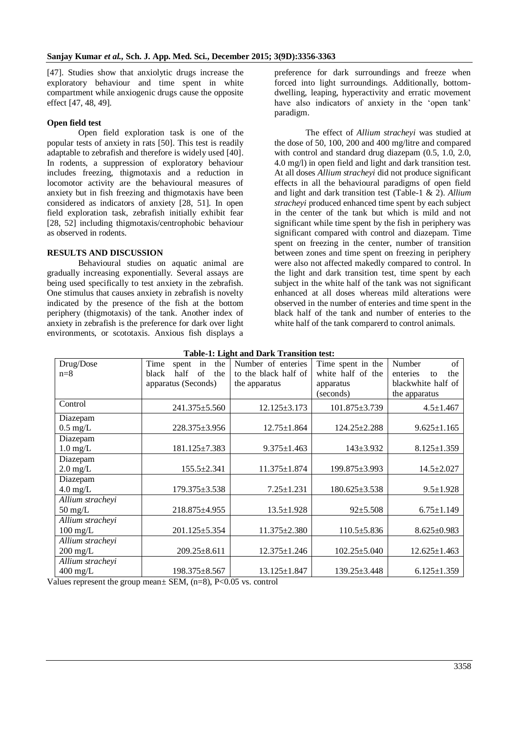[47]. Studies show that anxiolytic drugs increase the exploratory behaviour and time spent in white compartment while anxiogenic drugs cause the opposite effect [47, 48, 49].

### **Open field test**

Open field exploration task is one of the popular tests of anxiety in rats [50]. This test is readily adaptable to zebrafish and therefore is widely used [40]. In rodents, a suppression of exploratory behaviour includes freezing, thigmotaxis and a reduction in locomotor activity are the behavioural measures of anxiety but in fish freezing and thigmotaxis have been considered as indicators of anxiety [28, 51]. In open field exploration task, zebrafish initially exhibit fear [28, 52] including thigmotaxis/centrophobic behaviour as observed in rodents.

## **RESULTS AND DISCUSSION**

Behavioural studies on aquatic animal are gradually increasing exponentially. Several assays are being used specifically to test anxiety in the zebrafish. One stimulus that causes anxiety in zebrafish is novelty indicated by the presence of the fish at the bottom periphery (thigmotaxis) of the tank. Another index of anxiety in zebrafish is the preference for dark over light environments, or scototaxis. Anxious fish displays a

preference for dark surroundings and freeze when forced into light surroundings. Additionally, bottomdwelling, leaping, hyperactivity and erratic movement have also indicators of anxiety in the 'open tank' paradigm.

The effect of *Allium stracheyi* was studied at the dose of 50, 100, 200 and 400 mg/litre and compared with control and standard drug diazepam (0.5, 1.0, 2.0, 4.0 mg/l) in open field and light and dark transition test. At all doses *Allium stracheyi* did not produce significant effects in all the behavioural paradigms of open field and light and dark transition test (Table-1 & 2). *Allium stracheyi* produced enhanced time spent by each subject in the center of the tank but which is mild and not significant while time spent by the fish in periphery was significant compared with control and diazepam. Time spent on freezing in the center, number of transition between zones and time spent on freezing in periphery were also not affected makedly compared to control. In the light and dark transition test, time spent by each subject in the white half of the tank was not significant enhanced at all doses whereas mild alterations were observed in the number of enteries and time spent in the black half of the tank and number of enteries to the white half of the tank comparerd to control animals.

| Table-1; Light and Dark Transition test: |                            |                      |                    |                       |  |  |  |  |  |
|------------------------------------------|----------------------------|----------------------|--------------------|-----------------------|--|--|--|--|--|
| Drug/Dose                                | Time<br>spent<br>the<br>in | Number of enteries   | Time spent in the  | $\sigma$ f<br>Number  |  |  |  |  |  |
| $n=8$                                    | of<br>half<br>the<br>black | to the black half of | white half of the  | the<br>enteries<br>to |  |  |  |  |  |
|                                          | apparatus (Seconds)        | the apparatus        | apparatus          | blackwhite half of    |  |  |  |  |  |
|                                          |                            |                      | (seconds)          | the apparatus         |  |  |  |  |  |
| Control                                  | 241.375±5.560              | $12.125 \pm 3.173$   | 101.875±3.739      | $4.5 \pm 1.467$       |  |  |  |  |  |
| Diazepam                                 |                            |                      |                    |                       |  |  |  |  |  |
| $0.5 \text{ mg/L}$                       | 228.375±3.956              | $12.75 \pm 1.864$    | $124.25 \pm 2.288$ | $9.625 \pm 1.165$     |  |  |  |  |  |
| Diazepam                                 |                            |                      |                    |                       |  |  |  |  |  |
| $1.0 \text{ mg/L}$                       | $181.125 \pm 7.383$        | $9.375 \pm 1.463$    | $143 \pm 3.932$    | $8.125 \pm 1.359$     |  |  |  |  |  |
| Diazepam                                 |                            |                      |                    |                       |  |  |  |  |  |
| $2.0 \text{ mg/L}$                       | $155.5 \pm 2.341$          | $11.375 \pm 1.874$   | 199.875±3.993      | $14.5 \pm 2.027$      |  |  |  |  |  |
| Diazepam                                 |                            |                      |                    |                       |  |  |  |  |  |
| $4.0 \text{ mg/L}$                       | 179.375±3.538              | $7.25 \pm 1.231$     | 180.625±3.538      | $9.5 \pm 1.928$       |  |  |  |  |  |
| Allium stracheyi                         |                            |                      |                    |                       |  |  |  |  |  |
| $50 \text{ mg/L}$                        | 218.875±4.955              | $13.5 \pm 1.928$     | $92 \pm 5.508$     | $6.75 \pm 1.149$      |  |  |  |  |  |
| Allium stracheyi                         |                            |                      |                    |                       |  |  |  |  |  |
| $100 \text{ mg/L}$                       | $201.125 \pm 5.354$        | $11.375 \pm 2.380$   | $110.5 \pm 5.836$  | $8.625 \pm 0.983$     |  |  |  |  |  |
| Allium stracheyi                         |                            |                      |                    |                       |  |  |  |  |  |
| $200 \text{ mg/L}$                       | $209.25 \pm 8.611$         | $12.375 \pm 1.246$   | $102.25 \pm 5.040$ | $12.625 \pm 1.463$    |  |  |  |  |  |
| Allium stracheyi                         |                            |                      |                    |                       |  |  |  |  |  |
| $400 \text{ mg/L}$                       | $198.375 \pm 8.567$        | $13.125 \pm 1.847$   | $139.25 \pm 3.448$ | $6.125 \pm 1.359$     |  |  |  |  |  |

|  |  | <b>Table-1: Light and Dark Transition test:</b> |  |
|--|--|-------------------------------------------------|--|
|  |  |                                                 |  |

Values represent the group mean± SEM, (n=8), P<0.05 vs. control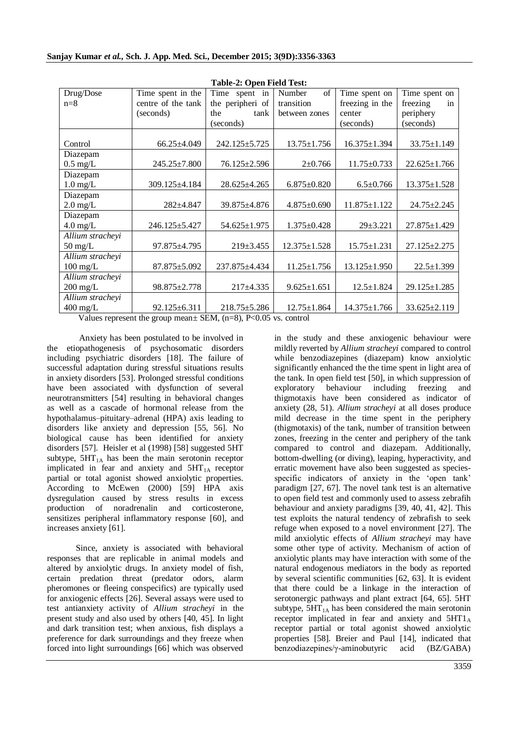| rabic-2. Open Field Test. |                    |                    |                   |                    |                    |  |  |  |
|---------------------------|--------------------|--------------------|-------------------|--------------------|--------------------|--|--|--|
| Drug/Dose                 | Time spent in the  | Time spent in      | Number<br>of      | Time spent on      | Time spent on      |  |  |  |
| $n=8$                     | centre of the tank | the peripheri of   | transition        | freezing in the    | freezing<br>in     |  |  |  |
|                           | (seconds)          | the<br>tank        | between zones     | center             | periphery          |  |  |  |
|                           |                    | (seconds)          |                   | (seconds)          | (seconds)          |  |  |  |
|                           |                    |                    |                   |                    |                    |  |  |  |
| Control                   | 66.25±4.049        | 242.125±5.725      | $13.75 \pm 1.756$ | 16.375±1.394       | 33.75±1.149        |  |  |  |
| Diazepam                  |                    |                    |                   |                    |                    |  |  |  |
| $0.5 \text{ mg/L}$        | 245.25±7.800       | 76.125±2.596       | $2 \pm 0.766$     | $11.75 \pm 0.733$  | $22.625 \pm 1.766$ |  |  |  |
| Diazepam                  |                    |                    |                   |                    |                    |  |  |  |
| $1.0$ mg/L                | 309.125±4.184      | $28.625 \pm 4.265$ | $6.875 \pm 0.820$ | $6.5 \pm 0.766$    | $13.375 \pm 1.528$ |  |  |  |
| Diazepam                  |                    |                    |                   |                    |                    |  |  |  |
| $2.0 \text{ mg/L}$        | 282±4.847          | 39.875±4.876       | $4.875 \pm 0.690$ | 11.875±1.122       | 24.75±2.245        |  |  |  |
| Diazepam                  |                    |                    |                   |                    |                    |  |  |  |
| $4.0 \text{ mg/L}$        | 246.125 + 5.427    | $54.625 \pm 1.975$ | $1.375 \pm 0.428$ | $29 + 3.221$       | $27.875 \pm 1.429$ |  |  |  |
| Allium stracheyi          |                    |                    |                   |                    |                    |  |  |  |
| $50 \text{ mg/L}$         | 97.875±4.795       | 219±3.455          | 12.375±1.528      | $15.75 \pm 1.231$  | 27.125±2.275       |  |  |  |
| Allium stracheyi          |                    |                    |                   |                    |                    |  |  |  |
| $100 \text{ mg/L}$        | $87.875 \pm 5.092$ | 237.875±4.434      | $11.25 \pm 1.756$ | $13.125 \pm 1.950$ | $22.5 \pm 1.399$   |  |  |  |
| Allium strachevi          |                    |                    |                   |                    |                    |  |  |  |
| $200 \text{ mg/L}$        | 98.875±2.778       | $217 \pm 4.335$    | $9.625 \pm 1.651$ | $12.5 \pm 1.824$   | 29.125±1.285       |  |  |  |
| Allium stracheyi          |                    |                    |                   |                    |                    |  |  |  |
| $400 \text{ mg/L}$        | $92.125 \pm 6.311$ | $218.75 \pm 5.286$ | $12.75 \pm 1.864$ | $14.375 \pm 1.766$ | $33.625 \pm 2.119$ |  |  |  |
|                           |                    |                    |                   |                    |                    |  |  |  |

**Table-2: Open Field Test:**

Values represent the group mean $\pm$  SEM, (n=8), P<0.05 vs. control

Anxiety has been postulated to be involved in the etiopathogenesis of psychosomatic disorders including psychiatric disorders [18]. The failure of successful adaptation during stressful situations results in anxiety disorders [53]. Prolonged stressful conditions have been associated with dysfunction of several neurotransmitters [54] resulting in behavioral changes as well as a cascade of hormonal release from the hypothalamus–pituitary–adrenal (HPA) axis leading to disorders like anxiety and depression [55, 56]. No biological cause has been identified for anxiety disorders [57]. Heisler et al (1998) [58] suggested 5HT subtype,  $5HT_{1A}$  has been the main serotonin receptor implicated in fear and anxiety and  $5HT<sub>1A</sub>$  receptor partial or total agonist showed anxiolytic properties. According to McEwen (2000) [59] HPA axis dysregulation caused by stress results in excess production of noradrenalin and corticosterone, sensitizes peripheral inflammatory response [60], and increases anxiety [61].

Since, anxiety is associated with behavioral responses that are replicable in animal models and altered by anxiolytic drugs. In anxiety model of fish, certain predation threat (predator odors, alarm pheromones or fleeing conspecifics) are typically used for anxiogenic effects [26]. Several assays were used to test antianxiety activity of *Allium stracheyi* in the present study and also used by others [40, 45]. In light and dark transition test; when anxious, fish displays a preference for dark surroundings and they freeze when forced into light surroundings [66] which was observed

in the study and these anxiogenic behaviour were mildly reverted by *Allium stracheyi* compared to control while benzodiazepines (diazepam) know anxiolytic significantly enhanced the the time spent in light area of the tank. In open field test [50], in which suppression of exploratory behaviour including freezing and thigmotaxis have been considered as indicator of anxiety (28, 51). *Allium stracheyi* at all doses produce mild decrease in the time spent in the periphery (thigmotaxis) of the tank, number of transition between zones, freezing in the center and periphery of the tank compared to control and diazepam. Additionally, bottom-dwelling (or diving), leaping, hyperactivity, and erratic movement have also been suggested as speciesspecific indicators of anxiety in the 'open tank' paradigm [27, 67]. The novel tank test is an alternative to open field test and commonly used to assess zebrafih behaviour and anxiety paradigms [39, 40, 41, 42]. This test exploits the natural tendency of zebrafish to seek refuge when exposed to a novel environment [27]. The mild anxiolytic effects of *Allium stracheyi* may have some other type of activity. Mechanism of action of anxiolytic plants may have interaction with some of the natural endogenous mediators in the body as reported by several scientific communities [62, 63]. It is evident that there could be a linkage in the interaction of serotonergic pathways and plant extract [64, 65]. 5HT subtype,  $5HT<sub>1A</sub>$  has been considered the main serotonin receptor implicated in fear and anxiety and  $5HT1_A$ receptor partial or total agonist showed anxiolytic properties [58]. Breier and Paul [14], indicated that benzodiazepines/γ-aminobutyric acid (BZ/GABA)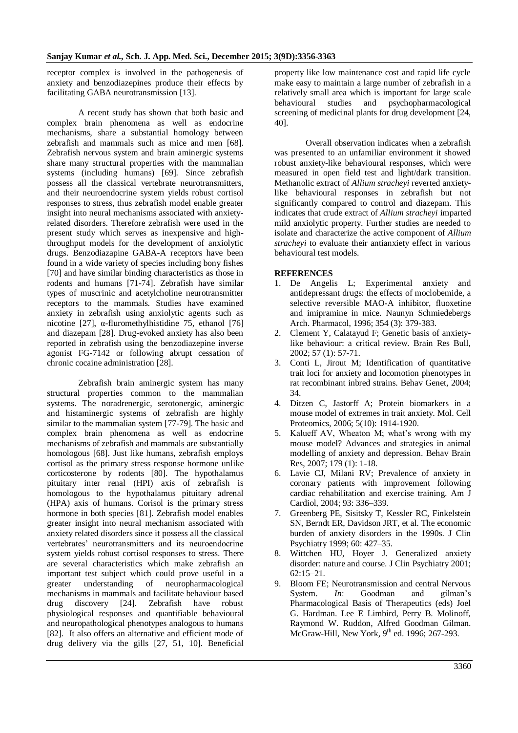receptor complex is involved in the pathogenesis of anxiety and benzodiazepines produce their effects by facilitating GABA neurotransmission [13].

A recent study has shown that both basic and complex brain phenomena as well as endocrine mechanisms, share a substantial homology between zebrafish and mammals such as mice and men [68]. Zebrafish nervous system and brain aminergic systems share many structural properties with the mammalian systems (including humans) [69]. Since zebrafish possess all the classical vertebrate neurotransmitters, and their neuroendocrine system yields robust cortisol responses to stress, thus zebrafish model enable greater insight into neural mechanisms associated with anxietyrelated disorders. Therefore zebrafish were used in the present study which serves as inexpensive and highthroughput models for the development of anxiolytic drugs. Benzodiazapine GABA-A receptors have been found in a wide variety of species including bony fishes [70] and have similar binding characteristics as those in rodents and humans [71-74]. Zebrafish have similar types of muscrinic and acetylcholine neurotransmitter receptors to the mammals. Studies have examined anxiety in zebrafish using anxiolytic agents such as nicotine [27], α-fluromethylhistidine 75, ethanol [76] and diazepam [28]. Drug-evoked anxiety has also been reported in zebrafish using the benzodiazepine inverse agonist FG-7142 or following abrupt cessation of chronic cocaine administration [28].

Zebrafish brain aminergic system has many structural properties common to the mammalian systems. The noradrenergic, serotonergic, aminergic and histaminergic systems of zebrafish are highly similar to the mammalian system [77-79]. The basic and complex brain phenomena as well as endocrine mechanisms of zebrafish and mammals are substantially homologous [68]. Just like humans, zebrafish employs cortisol as the primary stress response hormone unlike corticosterone by rodents [80]. The hypothalamus pituitary inter renal (HPI) axis of zebrafish is homologous to the hypothalamus pituitary adrenal (HPA) axis of humans. Corisol is the primary stress hormone in both species [81]. Zebrafish model enables greater insight into neural mechanism associated with anxiety related disorders since it possess all the classical vertebrates' neurotransmitters and its neuroendocrine system yields robust cortisol responses to stress. There are several characteristics which make zebrafish an important test subject which could prove useful in a greater understanding of neuropharmacological mechanisms in mammals and facilitate behaviour based drug discovery [24]. Zebrafish have robust physiological responses and quantifiable behavioural and neuropathological phenotypes analogous to humans [82]. It also offers an alternative and efficient mode of drug delivery via the gills [27, 51, 10]. Beneficial

property like low maintenance cost and rapid life cycle make easy to maintain a large number of zebrafish in a relatively small area which is important for large scale behavioural studies and psychopharmacological screening of medicinal plants for drug development [24, 40].

Overall observation indicates when a zebrafish was presented to an unfamiliar environment it showed robust anxiety-like behavioural responses, which were measured in open field test and light/dark transition. Methanolic extract of *Allium stracheyi* reverted anxietylike behavioural responses in zebrafish but not significantly compared to control and diazepam. This indicates that crude extract of *Allium stracheyi* imparted mild anxiolytic property. Further studies are needed to isolate and characterize the active component of *Allium stracheyi* to evaluate their antianxiety effect in various behavioural test models.

#### **REFERENCES**

- 1. De Angelis L; Experimental anxiety and antidepressant drugs: the effects of moclobemide, a selective reversible MAO-A inhibitor, fluoxetine and imipramine in mice. Naunyn Schmiedebergs Arch. Pharmacol, 1996; 354 (3): 379-383.
- 2. Clement Y, Calatayud F; Genetic basis of anxietylike behaviour: a critical review. Brain Res Bull, 2002; 57 (1): 57-71.
- 3. Conti L, Jirout M; Identification of quantitative trait loci for anxiety and locomotion phenotypes in rat recombinant inbred strains. Behav Genet, 2004; 34.
- 4. Ditzen C, Jastorff A; Protein biomarkers in a mouse model of extremes in trait anxiety. Mol. Cell Proteomics, 2006; 5(10): 1914-1920.
- 5. Kalueff AV, Wheaton M; what's wrong with my mouse model? Advances and strategies in animal modelling of anxiety and depression. Behav Brain Res, 2007; 179 (1): 1-18.
- 6. Lavie CJ, Milani RV; Prevalence of anxiety in coronary patients with improvement following cardiac rehabilitation and exercise training. Am J Cardiol, 2004; 93: 336–339.
- 7. Greenberg PE, Sisitsky T, Kessler RC, Finkelstein SN, Berndt ER, Davidson JRT, et al. The economic burden of anxiety disorders in the 1990s. J Clin Psychiatry 1999; 60: 427–35.
- 8. Wittchen HU, Hoyer J. Generalized anxiety disorder: nature and course. J Clin Psychiatry 2001; 62:15–21.
- 9. Bloom FE; Neurotransmission and central Nervous System. *In*: Goodman and gilman's Pharmacological Basis of Therapeutics (eds) Joel G. Hardman. Lee E Limbird, Perry B. Molinoff, Raymond W. Ruddon, Alfred Goodman Gilman. McGraw-Hill, New York, 9<sup>th</sup> ed. 1996; 267-293.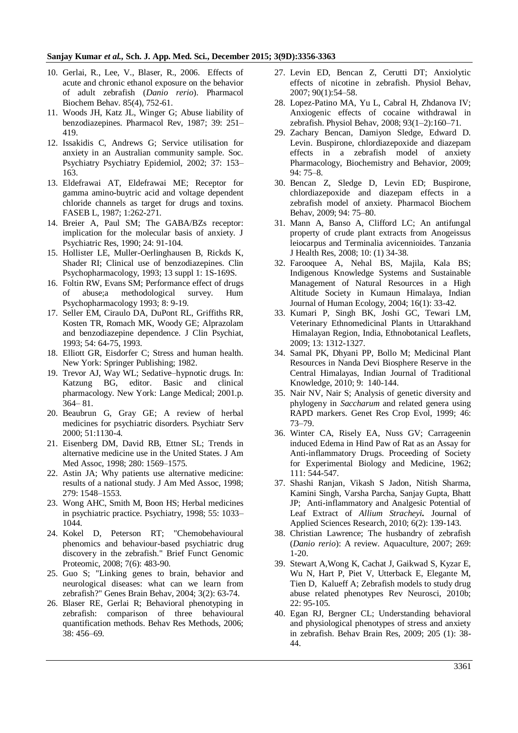#### **Sanjay Kumar** *et al.,* **Sch. J. App. Med. Sci., December 2015; 3(9D):3356-3363**

- 10. Gerlai, R., Lee, V., Blaser, R., 2006. Effects of acute and chronic ethanol exposure on the behavior of adult zebrafish (*Danio rerio*). Pharmacol Biochem Behav. 85(4), 752-61.
- 11. Woods JH, Katz JL, Winger G; Abuse liability of benzodiazepines. Pharmacol Rev, 1987; 39: 251– 419.
- 12. Issakidis C, Andrews G; Service utilisation for anxiety in an Australian community sample. Soc. Psychiatry Psychiatry Epidemiol, 2002; 37: 153– 163.
- 13. Eldefrawai AT, Eldefrawai ME; Receptor for gamma amino-buytric acid and voltage dependent chloride channels as target for drugs and toxins. FASEB L, 1987; 1:262-271.
- 14. Breier A, Paul SM; The GABA/BZs receptor: implication for the molecular basis of anxiety. J Psychiatric Res, 1990; 24: 91-104.
- 15. Hollister LE, Muller-Oerlinghausen B, Rickds K, Shader RI: Clinical use of benzodiazepines. Clin Psychopharmacology, 1993; 13 suppl 1: 1S-169S.
- 16. Foltin RW, Evans SM; Performance effect of drugs of abuse;a methodological survey. Hum Psychopharmacology 1993; 8: 9-19.
- 17. Seller EM, Ciraulo DA, DuPont RL, Griffiths RR, Kosten TR, Romach MK, Woody GE; Alprazolam and benzodiazepine dependence. J Clin Psychiat, 1993; 54: 64-75, 1993.
- 18. Elliott GR, Eisdorfer C; Stress and human health. New York: Springer Publishing; 1982.
- 19. Trevor AJ, Way WL; Sedative–hypnotic drugs. In: Katzung BG, editor. Basic and clinical pharmacology. New York: Lange Medical; 2001.p. 364– 81.
- 20. Beaubrun G, Gray GE; A review of herbal medicines for psychiatric disorders. Psychiatr Serv 2000; 51:1130-4.
- 21. Eisenberg DM, David RB, Ettner SL; Trends in alternative medicine use in the United States. J Am Med Assoc, 1998; 280: 1569–1575.
- 22. Astin JA; Why patients use alternative medicine: results of a national study. J Am Med Assoc, 1998; 279: 1548–1553.
- 23. Wong AHC, Smith M, Boon HS; Herbal medicines in psychiatric practice. Psychiatry, 1998; 55: 1033– 1044.
- 24. Kokel D, Peterson RT; "Chemobehavioural phenomics and behaviour-based psychiatric drug discovery in the zebrafish." Brief Funct Genomic Proteomic, 2008; 7(6): 483-90.
- 25. Guo S; "Linking genes to brain, behavior and neurological diseases: what can we learn from zebrafish?" Genes Brain Behav, 2004; 3(2): 63-74.
- 26. Blaser RE, Gerlai R; Behavioral phenotyping in zebrafish: comparison of three behavioural quantification methods. Behav Res Methods, 2006; 38: 456–69.
- 27. Levin ED, Bencan Z, Cerutti DT; Anxiolytic effects of nicotine in zebrafish. Physiol Behav, 2007; 90(1):54–58.
- 28. Lopez-Patino MA, Yu L, Cabral H, Zhdanova IV; Anxiogenic effects of cocaine withdrawal in zebrafish. Physiol Behav, 2008; 93(1–2):160–71.
- 29. Zachary Bencan, Damiyon Sledge, Edward D. Levin. Buspirone, chlordiazepoxide and diazepam effects in a zebrafish model of anxiety Pharmacology, Biochemistry and Behavior, 2009; 94: 75–8.
- 30. Bencan Z, Sledge D, Levin ED; Buspirone, chlordiazepoxide and diazepam effects in a zebrafish model of anxiety. Pharmacol Biochem Behav, 2009; 94: 75–80.
- 31. Mann A, Banso A, Clifford LC; An antifungal property of crude plant extracts from Anogeissus leiocarpus and Terminalia avicennioides. Tanzania J Health Res, 2008; 10: (1) 34-38.
- 32. Farooquee A, Nehal BS, Majila, Kala BS; Indigenous Knowledge Systems and Sustainable Management of Natural Resources in a High Altitude Society in Kumaun Himalaya, Indian Journal of Human Ecology, 2004; 16(1): 33-42.
- 33. Kumari P, Singh BK, Joshi GC, Tewari LM, Veterinary Ethnomedicinal Plants in Uttarakhand Himalayan Region, India, Ethnobotanical Leaflets, 2009; 13: 1312-1327.
- 34. Samal PK, Dhyani PP, Bollo M; Medicinal Plant Resources in Nanda Devi Biosphere Reserve in the Central Himalayas, Indian Journal of Traditional Knowledge, 2010; 9: 140-144.
- 35. Nair NV, Nair S; Analysis of genetic diversity and phylogeny in *Saccharum* and related genera using RAPD markers. Genet Res Crop Evol, 1999; 46: 73–79.
- 36. Winter CA, Risely EA, Nuss GV; Carrageenin induced Edema in Hind Paw of Rat as an Assay for Anti-inflammatory Drugs. Proceeding of Society for Experimental Biology and Medicine, 1962; 111: 544-547.
- 37. Shashi Ranjan, Vikash S Jadon, Nitish Sharma, Kamini Singh, Varsha Parcha, Sanjay Gupta, Bhatt JP; Anti-inflammatory and Analgesic Potential of Leaf Extract of *Allium Stracheyi.* Journal of Applied Sciences Research, 2010; 6(2): 139-143.
- 38. Christian Lawrence; The husbandry of zebrafish (*Danio rerio*): A review. Aquaculture, 2007; 269: 1-20.
- 39. Stewart A,Wong K, Cachat J, Gaikwad S, Kyzar E, Wu N, Hart P, Piet V, Utterback E, Elegante M, Tien D, Kalueff A; Zebrafish models to study drug abuse related phenotypes Rev Neurosci, 2010b; 22: 95-105.
- 40. Egan RJ, Bergner CL; Understanding behavioral and physiological phenotypes of stress and anxiety in zebrafish. Behav Brain Res, 2009; 205 (1): 38- 44.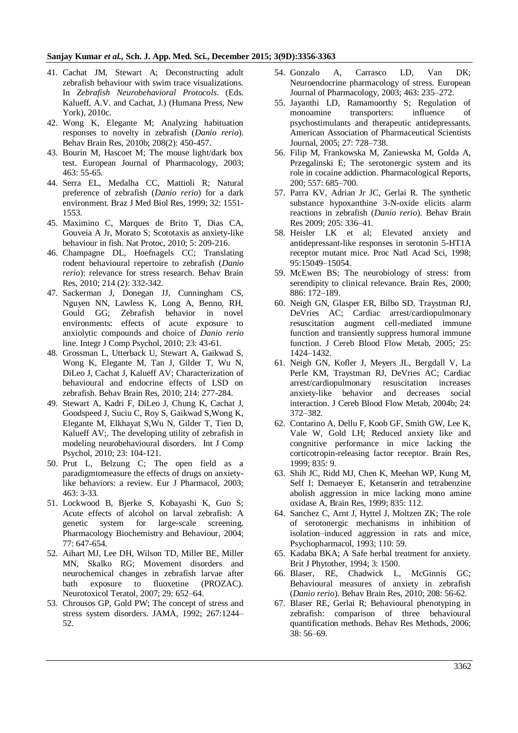#### **Sanjay Kumar** *et al.,* **Sch. J. App. Med. Sci., December 2015; 3(9D):3356-3363**

- 41. Cachat JM, Stewart A; Deconstructing adult zebrafish behaviour with swim trace visualizations. In *Zebrafish Neurobehavioral Protocols*. (Eds. Kalueff, A.V. and Cachat, J.) (Humana Press, New York), 2010c.
- 42. Wong K, Elegante M; Analyzing habituation responses to novelty in zebrafish (*Danio rerio*). Behav Brain Res, 2010b; 208(2): 450-457.
- 43. Bourin M, Hascoet M; The mouse light/dark box test. European Journal of Pharmacology, 2003; 463: 55-65.
- 44. Serra EL, Medalha CC, Mattioli R; Natural preference of zebrafish (*Danio rerio*) for a dark environment. Braz J Med Biol Res, 1999; 32: 1551- 1553.
- 45. Maximino C, Marques de Brito T, Dias CA, Gouveia A Jr, Morato S; Scototaxis as anxiety-like behaviour in fish. Nat Protoc, 2010; 5: 209-216.
- 46. Champagne DL, Hoefnagels CC; Translating rodent behavioural repertoire to zebrafish (*Danio rerio*): relevance for stress research. Behav Brain Res, 2010; 214 (2): 332-342.
- 47. Sackerman J, Donegan JJ, Cunningham CS, Nguyen NN, Lawless K, Long A, Benno, RH, Gould GG; Zebrafish behavior in novel environments: effects of acute exposure to anxiolytic compounds and choice of *Danio rerio*  line. Integr J Comp Psychol, 2010; 23: 43-61.
- 48. Grossman L, Utterback U, Stewart A, Gaikwad S, Wong K, Elegante M, Tan J, Gilder T, Wu N, DiLeo J, Cachat J, Kalueff AV; Characterization of behavioural and endocrine effects of LSD on zebrafish. Behav Brain Res, 2010; 214: 277-284.
- 49. Stewart A, Kadri F, DiLeo J, Chung K, Cachat J, Goodspeed J, Suciu C, Roy S, Gaikwad S,Wong K, Elegante M, Elkhayat S,Wu N, Gilder T, Tien D, Kalueff AV;. The developing utility of zebrafish in modeling neurobehavioural disorders. Int J Comp Psychol, 2010; 23: 104-121.
- 50. Prut L, Belzung C; The open field as a paradigmtomeasure the effects of drugs on anxietylike behaviors: a review. Eur J Pharmacol, 2003; 463: 3-33.
- 51. Lockwood B, Bjerke S, Kobayashi K, Guo S; Acute effects of alcohol on larval zebrafish: A genetic system for large-scale screening. Pharmacology Biochemistry and Behaviour*,* 2004; 77: 647-654.
- 52. Aihart MJ, Lee DH, Wilson TD, Miller BE, Miller MN, Skalko RG; Movement disorders and neurochemical changes in zebrafish larvae after bath exposure to fluoxetine (PROZAC). Neurotoxicol Teratol, 2007; 29: 652–64.
- 53. Chrousos GP, Gold PW; The concept of stress and stress system disorders. JAMA, 1992; 267:1244– 52.
- 54. Gonzalo A, Carrasco LD, Van DK; Neuroendocrine pharmacology of stress. European Journal of Pharmacology, 2003; 463: 235–272.
- 55. Jayanthi LD, Ramamoorthy S; Regulation of monoamine transporters: influence of psychostimulants and therapeutic antidepressants. American Association of Pharmaceutical Scientists Journal, 2005; 27: 728–738.
- 56. Filip M, Frankowska M, Zaniewska M, Golda A, Przegalinski E; The serotonergic system and its role in cocaine addiction. Pharmacological Reports, 200; 557: 685–700.
- 57. Parra KV, Adrian Jr JC, Gerlai R. The synthetic substance hypoxanthine 3-N-oxide elicits alarm reactions in zebrafish (*Danio rerio*). Behav Brain Res 2009; 205: 336–41.
- 58. Heisler LK et al; Elevated anxiety and antidepressant-like responses in serotonin 5-HT1A receptor mutant mice. Proc Natl Acad Sci, 1998; 95:15049–15054.
- 59. McEwen BS; The neurobiology of stress: from serendipity to clinical relevance. Brain Res, 2000; 886: 172–189.
- 60. Neigh GN, Glasper ER, Bilbo SD, Traystman RJ, DeVries AC; Cardiac arrest/cardiopulmonary resuscitation augment cell-mediated immune function and transiently suppress humoral immune function. J Cereb Blood Flow Metab, 2005; 25: 1424–1432.
- 61. Neigh GN, Kofler J, Meyers JL, Bergdall V, La Perle KM, Traystman RJ, DeVries AC; Cardiac arrest/cardiopulmonary resuscitation increases anxiety-like behavior and decreases social interaction. J Cereb Blood Flow Metab, 2004b; 24: 372–382.
- 62. Contarino A, Dellu F, Koob GF, Smith GW, Lee K, Vale W, Gold LH; Reduced anxiety like and congnitive performance in mice lacking the corticotropin-releasing factor receptor. Brain Res, 1999; 835: 9.
- 63. Shih JC, Ridd MJ, Chen K, Meehan WP, Kung M, Self I; Demaeyer E, Ketanserin and tetrabenzine abolish aggression in mice lacking mono amine oxidase A, Brain Res, 1999; 835: 112.
- 64. Sanchez C, Arnt J, Hyttel J, Moltzen ZK; The role of serotonergic mechanisms in inhibition of isolation–induced aggression in rats and mice, Psychopharmacol, 1993; 110: 59.
- 65. Kadaba BKA; A Safe herbal treatment for anxiety. Brit J Phytother, 1994; 3: 1500.
- 66. Blaser, RE, Chadwick L, McGinnis GC; Behavioural measures of anxiety in zebrafish (*Danio rerio*). Behav Brain Res, 2010; 208: 56-62.
- 67. Blaser RE, Gerlai R; Behavioural phenotyping in zebrafish: comparison of three behavioural quantification methods. Behav Res Methods, 2006; 38: 56–69.